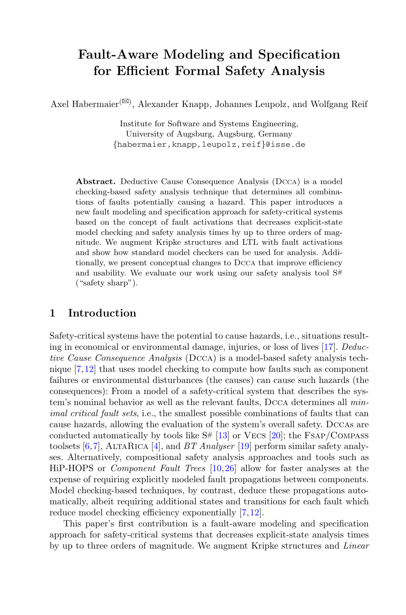# **Fault-Aware Modeling and Specification for Efficient Formal Safety Analysis**

Axel Habermaier<sup>( $\boxtimes$ )</sup>, Alexander Knapp, Johannes Leupolz, and Wolfgang Reif

Institute for Software and Systems Engineering, University of Augsburg, Augsburg, Germany {habermaier,knapp,leupolz,reif}@isse.de

**Abstract.** Deductive Cause Consequence Analysis (Dcca) is a model checking-based safety analysis technique that determines all combinations of faults potentially causing a hazard. This paper introduces a new fault modeling and specification approach for safety-critical systems based on the concept of fault activations that decreases explicit-state model checking and safety analysis times by up to three orders of magnitude. We augment Kripke structures and LTL with fault activations and show how standard model checkers can be used for analysis. Additionally, we present conceptual changes to Dcca that improve efficiency and usability. We evaluate our work using our safety analysis tool S# ("safety sharp").

# **1 Introduction**

Safety-critical systems have the potential to cause hazards, i.e., situations resulting in economical or environmental damage, injuries, or loss of lives [\[17\]](#page-17-0). *Deductive Cause Consequence Analysis* (Dcca) is a model-based safety analysis technique [\[7,](#page-16-0)[12\]](#page-17-1) that uses model checking to compute how faults such as component failures or environmental disturbances (the causes) can cause such hazards (the consequences): From a model of a safety-critical system that describes the system's nominal behavior as well as the relevant faults, Dcca determines all *minimal critical fault sets*, i.e., the smallest possible combinations of faults that can cause hazards, allowing the evaluation of the system's overall safety. Dccas are conducted automatically by tools like  $S#$  [\[13](#page-17-2)] or VECS [\[20\]](#page-17-3); the FSAP/COMPASS toolsets [\[6](#page-16-1),[7\]](#page-16-0), ALTARICA [\[4](#page-16-2)], and *BT Analyser* [\[19\]](#page-17-4) perform similar safety analyses. Alternatively, compositional safety analysis approaches and tools such as HiP-HOPS or *Component Fault Trees* [\[10,](#page-17-5)[26\]](#page-17-6) allow for faster analyses at the expense of requiring explicitly modeled fault propagations between components. Model checking-based techniques, by contrast, deduce these propagations automatically, albeit requiring additional states and transitions for each fault which reduce model checking efficiency exponentially [\[7,](#page-16-0)[12\]](#page-17-1).

This paper's first contribution is a fault-aware modeling and specification approach for safety-critical systems that decreases explicit-state analysis times by up to three orders of magnitude. We augment Kripke structures and *Linear*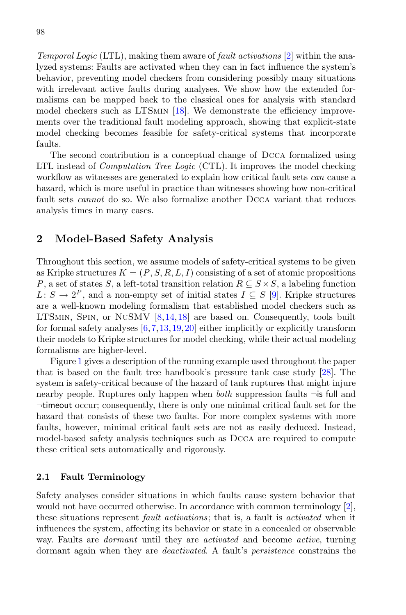*Temporal Logic* (LTL), making them aware of *fault activations* [\[2](#page-16-3)] within the analyzed systems: Faults are activated when they can in fact influence the system's behavior, preventing model checkers from considering possibly many situations with irrelevant active faults during analyses. We show how the extended formalisms can be mapped back to the classical ones for analysis with standard model checkers such as LTSMIN [\[18\]](#page-17-7). We demonstrate the efficiency improvements over the traditional fault modeling approach, showing that explicit-state model checking becomes feasible for safety-critical systems that incorporate faults.

The second contribution is a conceptual change of Dcca formalized using LTL instead of *Computation Tree Logic* (CTL). It improves the model checking workflow as witnesses are generated to explain how critical fault sets *can* cause a hazard, which is more useful in practice than witnesses showing how non-critical fault sets *cannot* do so. We also formalize another DCCA variant that reduces analysis times in many cases.

### **2 Model-Based Safety Analysis**

Throughout this section, we assume models of safety-critical systems to be given as Kripke structures  $K = (P, S, R, L, I)$  consisting of a set of atomic propositions *P*, a set of states S, a left-total transition relation  $R \subseteq S \times S$ , a labeling function  $L: S \to 2^P$ , and a non-empty set of initial states  $I \subseteq S$  [\[9](#page-16-4)]. Kripke structures are a well-known modeling formalism that established model checkers such as are a well-known modeling formalism that established model checkers such as LTSMIN, SPIN, or  $NUSMV$   $[8,14,18]$  $[8,14,18]$  $[8,14,18]$  $[8,14,18]$  are based on. Consequently, tools built for formal safety analyses [\[6](#page-16-1),[7,](#page-16-0)[13,](#page-17-2)[19](#page-17-4)[,20](#page-17-3)] either implicitly or explicitly transform their models to Kripke structures for model checking, while their actual modeling formalisms are higher-level.

Figure [1](#page-2-0) gives a description of the running example used throughout the paper that is based on the fault tree handbook's pressure tank case study [\[28](#page-17-9)]. The system is safety-critical because of the hazard of tank ruptures that might injure nearby people. Ruptures only happen when *both* suppression faults ¬is full and ¬timeout occur; consequently, there is only one minimal critical fault set for the hazard that consists of these two faults. For more complex systems with more faults, however, minimal critical fault sets are not as easily deduced. Instead, model-based safety analysis techniques such as Dcca are required to compute these critical sets automatically and rigorously.

#### **2.1 Fault Terminology**

Safety analyses consider situations in which faults cause system behavior that would not have occurred otherwise. In accordance with common terminology [\[2\]](#page-16-3), these situations represent *fault activations*; that is, a fault is *activated* when it influences the system, affecting its behavior or state in a concealed or observable way. Faults are *dormant* until they are *activated* and become *active*, turning dormant again when they are *deactivated*. A fault's *persistence* constrains the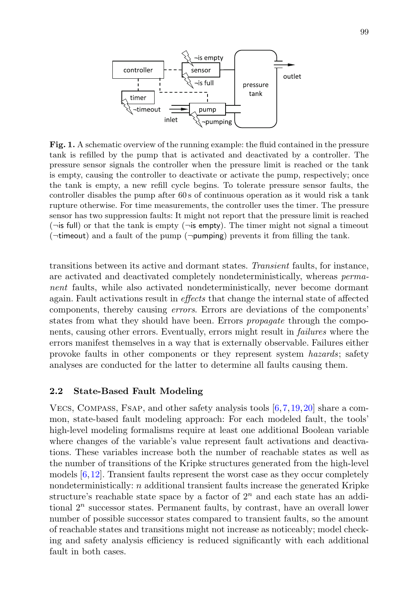

<span id="page-2-0"></span>**Fig. 1.** A schematic overview of the running example: the fluid contained in the pressure tank is refilled by the pump that is activated and deactivated by a controller. The pressure sensor signals the controller when the pressure limit is reached or the tank is empty, causing the controller to deactivate or activate the pump, respectively; once the tank is empty, a new refill cycle begins. To tolerate pressure sensor faults, the controller disables the pump after 60 s of continuous operation as it would risk a tank rupture otherwise. For time measurements, the controller uses the timer. The pressure sensor has two suppression faults: It might not report that the pressure limit is reached  $(\neg$ is full) or that the tank is empty  $(\neg$ is empty). The timer might not signal a timeout  $(\neg$ timeout) and a fault of the pump  $(\neg$ pumping) prevents it from filling the tank.

transitions between its active and dormant states. *Transient* faults, for instance, are activated and deactivated completely nondeterministically, whereas *permanent* faults, while also activated nondeterministically, never become dormant again. Fault activations result in *effects* that change the internal state of affected components, thereby causing *errors*. Errors are deviations of the components' states from what they should have been. Errors *propagate* through the components, causing other errors. Eventually, errors might result in *failures* where the errors manifest themselves in a way that is externally observable. Failures either provoke faults in other components or they represent system *hazards*; safety analyses are conducted for the latter to determine all faults causing them.

#### **2.2 State-Based Fault Modeling**

Vecs, Compass, Fsap, and other safety analysis tools [\[6](#page-16-1)[,7](#page-16-0),[19,](#page-17-4)[20\]](#page-17-3) share a common, state-based fault modeling approach: For each modeled fault, the tools' high-level modeling formalisms require at least one additional Boolean variable where changes of the variable's value represent fault activations and deactivations. These variables increase both the number of reachable states as well as the number of transitions of the Kripke structures generated from the high-level models [\[6](#page-16-1)[,12](#page-17-1)]. Transient faults represent the worst case as they occur completely nondeterministically:  $n$  additional transient faults increase the generated Kripke structure's reachable state space by a factor of  $2<sup>n</sup>$  and each state has an additional  $2^n$  successor states. Permanent faults, by contrast, have an overall lower number of possible successor states compared to transient faults, so the amount of reachable states and transitions might not increase as noticeably; model checking and safety analysis efficiency is reduced significantly with each additional fault in both cases.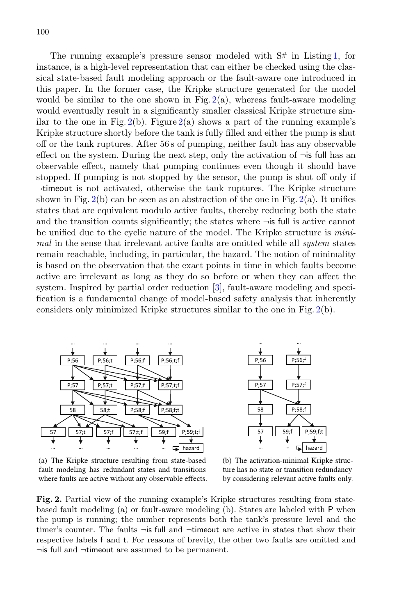The running example's pressure sensor modeled with  $S#$  in Listing [1,](#page-13-0) for instance, is a high-level representation that can either be checked using the classical state-based fault modeling approach or the fault-aware one introduced in this paper. In the former case, the Kripke structure generated for the model would be similar to the one shown in Fig.  $2(a)$  $2(a)$ , whereas fault-aware modeling would eventually result in a significantly smaller classical Kripke structure similar to the one in Fig.  $2(b)$  $2(b)$ . Figure  $2(a)$  shows a part of the running example's Kripke structure shortly before the tank is fully filled and either the pump is shut off or the tank ruptures. After 56 s of pumping, neither fault has any observable effect on the system. During the next step, only the activation of  $\neg$ is full has an observable effect, namely that pumping continues even though it should have stopped. If pumping is not stopped by the sensor, the pump is shut off only if ¬timeout is not activated, otherwise the tank ruptures. The Kripke structure shown in Fig.  $2(b)$  $2(b)$  can be seen as an abstraction of the one in Fig.  $2(a)$ . It unifies states that are equivalent modulo active faults, thereby reducing both the state and the transition counts significantly; the states where  $\neg$  is full is active cannot be unified due to the cyclic nature of the model. The Kripke structure is *minimal* in the sense that irrelevant active faults are omitted while all *system* states remain reachable, including, in particular, the hazard. The notion of minimality is based on the observation that the exact points in time in which faults become active are irrelevant as long as they do so before or when they can affect the system. Inspired by partial order reduction [\[3\]](#page-16-6), fault-aware modeling and specification is a fundamental change of model-based safety analysis that inherently considers only minimized Kripke structures similar to the one in Fig. [2\(](#page-3-0)b).





(a) The Kripke structure resulting from state-based fault modeling has redundant states and transitions where faults are active without any observable effects.

(b) The activation-minimal Kripke structure has no state or transition redundancy by considering relevant active faults only.

<span id="page-3-0"></span>**Fig. 2.** Partial view of the running example's Kripke structures resulting from statebased fault modeling (a) or fault-aware modeling (b). States are labeled with P when the pump is running; the number represents both the tank's pressure level and the timer's counter. The faults ¬is full and ¬timeout are active in states that show their respective labels f and t. For reasons of brevity, the other two faults are omitted and ¬is full and ¬timeout are assumed to be permanent.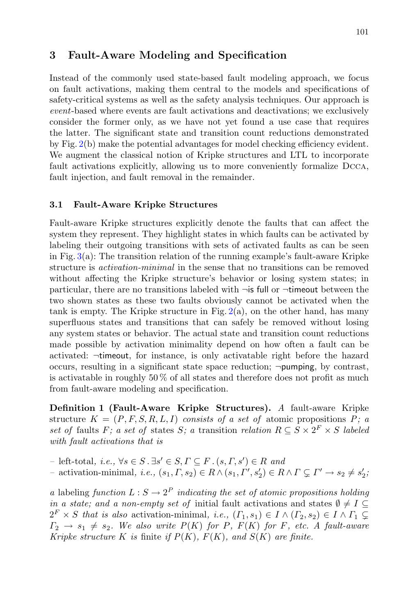### **3 Fault-Aware Modeling and Specification**

Instead of the commonly used state-based fault modeling approach, we focus on fault activations, making them central to the models and specifications of safety-critical systems as well as the safety analysis techniques. Our approach is *event*-based where events are fault activations and deactivations; we exclusively consider the former only, as we have not yet found a use case that requires the latter. The significant state and transition count reductions demonstrated by Fig. [2\(](#page-3-0)b) make the potential advantages for model checking efficiency evident. We augment the classical notion of Kripke structures and LTL to incorporate fault activations explicitly, allowing us to more conveniently formalize Dcca, fault injection, and fault removal in the remainder.

#### **3.1 Fault-Aware Kripke Structures**

Fault-aware Kripke structures explicitly denote the faults that can affect the system they represent. They highlight states in which faults can be activated by labeling their outgoing transitions with sets of activated faults as can be seen in Fig.  $3(a)$  $3(a)$ : The transition relation of the running example's fault-aware Kripke structure is *activation-minimal* in the sense that no transitions can be removed without affecting the Kripke structure's behavior or losing system states; in particular, there are no transitions labeled with  $\neg$  is full or  $\neg$  timeout between the two shown states as these two faults obviously cannot be activated when the tank is empty. The Kripke structure in Fig.  $2(a)$  $2(a)$ , on the other hand, has many superfluous states and transitions that can safely be removed without losing any system states or behavior. The actual state and transition count reductions made possible by activation minimality depend on how often a fault can be activated: ¬timeout, for instance, is only activatable right before the hazard occurs, resulting in a significant state space reduction; ¬pumping, by contrast, is activatable in roughly 50 % of all states and therefore does not profit as much from fault-aware modeling and specification.

**Definition 1 (Fault-Aware Kripke Structures).** *A* fault-aware Kripke structure  $K = (P, F, S, R, L, I)$  *consists of a set of* atomic propositions  $P$ ; *a set of* faults F; *a set of* states S; *a* transition *relation*  $R \subseteq S \times 2^F \times S$  *labeled* with fault activations that is *with fault activations that is*

*–* left-total, *i.e.*,  $\forall s \in S$ .  $\exists s' \in S$ ,  $\Gamma \subseteq F$ .  $(s, \Gamma, s') \in R$  and  $\vdots$  activation-minimal *i.e.*  $(s, \Gamma, s_0) \in R \wedge (s, \Gamma', s') \in R$ 

*–* activation-minimal, *i.e.*,  $(s_1, \Gamma, s_2) \in R \wedge (s_1, \Gamma', s_2') \in R \wedge \Gamma \subsetneq \Gamma' \to s_2 \neq s_2'$ ;

*a* labeling *function*  $L: S \to 2^P$  *indicating the set of atomic propositions holding in a state: and a pop-empty set of initial* fault activations and states  $\emptyset \neq I \subseteq$ *in a state; and a non-empty set of* initial fault activations and states  $\emptyset \neq I \subseteq$  $2^F \times S$  *that is also* activation-minimal, *i.e.*,  $(\Gamma_1, s_1) \in I \wedge (\Gamma_2, s_2) \in I \wedge \Gamma_1 \subset I$ <br> $\Gamma_2 \to s_1 \to s_2$  We also write  $P(K)$  for P  $F(K)$  for F etc. 4 fault-gyper  $\Gamma_2 \rightarrow s_1 \neq s_2$ . We also write  $P(K)$  for P,  $F(K)$  for F, etc. A fault-aware *Kripke structure K is* finite *if*  $P(K)$ *,*  $F(K)$ *,* and  $S(K)$  are finite.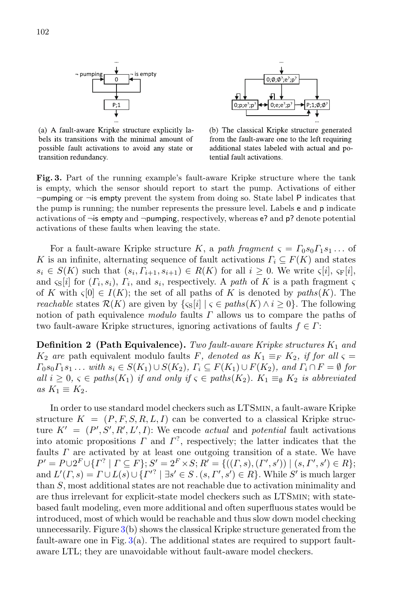

 $0;\emptyset;\emptyset$ ?;e?;p  $0:e:e<sup>7</sup>$  $|0; p; e^{\frac{2}{r}}$  $9.1.01$ 

(a) A fault-aware Kripke structure explicitly labels its transitions with the minimal amount of possible fault activations to avoid any state or transition redundancy.

(b) The classical Kripke structure generated from the fault-aware one to the left requiring additional states labeled with actual and potential fault activations.

<span id="page-5-0"></span>**Fig. 3.** Part of the running example's fault-aware Kripke structure where the tank is empty, which the sensor should report to start the pump. Activations of either  $\neg$ pumping or  $\neg$ is empty prevent the system from doing so. State label P indicates that the pump is running; the number represents the pressure level. Labels e and p indicate activations of  $\neg$ is empty and  $\neg$ pumping, respectively, whereas e? and p? denote potential activations of these faults when leaving the state.

For a fault-aware Kripke structure K, a *path* fragment  $\varsigma = \Gamma_0 s_0 \Gamma_1 s_1 \dots$  of K is an infinite, alternating sequence of fault activations  $\Gamma_i \subseteq F(K)$  and states  $s_i \in S(K)$  such that  $(s_i, \Gamma_{i+1}, s_{i+1}) \in R(K)$  for all  $i \geq 0$ . We write  $\varsigma[i], \varsigma_F[i],$ <br>and  $\varsigma_G[i]$  for  $(\Gamma, s_1)$ ,  $\Gamma$  and suppositively A noth of K is a path fragment  $\varsigma$ and  $\varsigma_{\rm S}[i]$  for  $(\Gamma_i, s_i)$ ,  $\Gamma_i$ , and  $s_i$ , respectively. A *path* of K is a path fragment  $\varsigma$  of K with  $\varsigma[0] \in I(K)$ ; the set of all paths of K is denoted by *naths*(K). The of K with  $\varsigma[0] \in I(K)$ ; the set of all paths of K is denoted by *paths*(K). The *reachable* states  $\mathcal{R}(K)$  are given by  $\{\varsigma_{\mathbf{S}}[i] \mid \varsigma \in paths(K) \land i \geq 0\}$ . The following notion of path equivalence *modulo* faults Γ allows us to compare the paths of two fault-aware Kripke structures, ignoring activations of faults  $f \in \Gamma$ :

**Definition 2 (Path Equivalence).** *Two fault-aware Kripke structures*  $K_1$  *and* K<sub>2</sub> are path equivalent modulo faults F, denoted as  $K_1 \equiv_F K_2$ , if for all  $\varsigma =$  $\Gamma_0 s_0 \Gamma_1 s_1 \ldots$  with  $s_i \in S(K_1) \cup S(K_2)$ ,  $\Gamma_i \subseteq F(K_1) \cup F(K_2)$ , and  $\Gamma_i \cap F = \emptyset$  for *all*  $i \geq 0$ ,  $\varsigma \in paths(K_1)$  *if and only if*  $\varsigma \in paths(K_2)$ *.*  $K_1 \equiv_{\emptyset} K_2$  *is abbreviated*  $as K_1 \equiv K_2.$ 

In order to use standard model checkers such as LTSmin, a fault-aware Kripke structure  $K = (P, F, S, R, L, I)$  can be converted to a classical Kripke structure  $K' = (P', S', R', L', I)$ : We encode *actual* and *potential* fault activations<br>into atomic propositions  $\Gamma$  and  $\Gamma'$  respectively; the latter indicates that the  $^{\prime},S^{\prime},R^{\prime},L^{\prime}$ into atomic propositions  $\Gamma$  and  $\Gamma^2$ , respectively; the latter indicates that the faults  $\Gamma$  are activated by at least one outgoing transition of a state. We have faults  $\Gamma$  are activated by at least one outgoing transition of a state. We have  $P' = P \cup 2^F \cup \{ \Gamma^? \mid \Gamma \subseteq F \}; S' = 2^F \times S; R' = \{ ((\Gamma, s), (\Gamma', s')) \mid (s, \Gamma', s') \in R \};$ <br>and  $L'(\Gamma, s) = \Gamma \cup L(s) \cup \{ \Gamma'^? \mid \exists s' \in S, (s, \Gamma', s') \in R \}$ . While S' is much larger and  $L'(T,s) = \Gamma \cup L(s) \cup \{T'^{2} \mid \exists s' \in S \cdot (s,T',s') \in R\}$ . While S' is much larger than  $S$ , most additional states are not reachable due to activation minimality and<br>are thus irrelevant for evolicit-state model checkers such as LTSMIN: with stateare thus irrelevant for explicit-state model checkers such as LTSmin; with statebased fault modeling, even more additional and often superfluous states would be introduced, most of which would be reachable and thus slow down model checking unnecessarily. Figure [3\(](#page-5-0)b) shows the classical Kripke structure generated from the fault-aware one in Fig. [3\(](#page-5-0)a). The additional states are required to support faultaware LTL; they are unavoidable without fault-aware model checkers.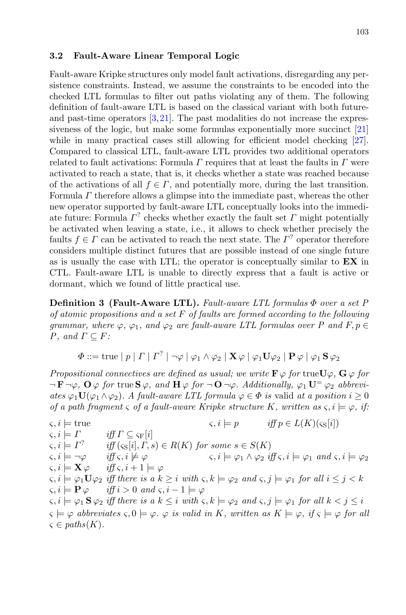#### **3.2 Fault-Aware Linear Temporal Logic**

Fault-aware Kripke structures only model fault activations, disregarding any persistence constraints. Instead, we assume the constraints to be encoded into the checked LTL formulas to filter out paths violating any of them. The following definition of fault-aware LTL is based on the classical variant with both futureand past-time operators [\[3](#page-16-6)[,21\]](#page-17-10). The past modalities do not increase the expressiveness of the logic, but make some formulas exponentially more succinct [\[21\]](#page-17-10) while in many practical cases still allowing for efficient model checking [\[27\]](#page-17-11). Compared to classical LTL, fault-aware LTL provides two additional operators related to fault activations: Formula  $\Gamma$  requires that at least the faults in  $\Gamma$  were activated to reach a state, that is, it checks whether a state was reached because of the activations of all  $f \in \Gamma$ , and potentially more, during the last transition. Formula Γ therefore allows <sup>a</sup> glimpse into the immediate past, whereas the other new operator supported by fault-aware LTL conceptually looks into the immediate future: Formula  $\Gamma^?$  checks whether exactly the fault set  $\Gamma$  might potentially<br>be activated when leaving a state i.e., it allows to check whether precisely the be activated when leaving a state, i.e., it allows to check whether precisely the faults  $f \in \Gamma$  can be activated to reach the next state. The  $\Gamma^?$  operator therefore considers multiple distinct futures that are possible instead of one single future considers multiple distinct futures that are possible instead of one single future as is usually the case with LTL; the operator is conceptually similar to **EX** in CTL. Fault-aware LTL is unable to directly express that a fault is active or dormant, which we found of little practical use.

**Definition <sup>3</sup> (Fault-Aware LTL).** *Fault-aware LTL formulas* Φ *over <sup>a</sup> set <sup>P</sup> of atomic propositions and <sup>a</sup> set* F *of faults are formed according to the following grammar,* where  $\varphi$ ,  $\varphi_1$ , and  $\varphi_2$  are fault-aware LTL formulas over *P* and  $F, p \in$ *P*, *and*  $\Gamma \subseteq F$ *:* 

$$
\Phi ::= \text{true} | p | \Gamma | \Gamma^? | \neg \varphi | \varphi_1 \wedge \varphi_2 | \mathbf{X} \varphi | \varphi_1 \mathbf{U} \varphi_2 | \mathbf{P} \varphi | \varphi_1 \mathbf{S} \varphi_2
$$

*Propositional connectives are defined as usual; we write*  $\mathbf{F} \varphi$  *for* true  $\mathbf{U} \varphi$ ,  $\mathbf{G} \varphi$  *for*  $\neg$  **F**  $\neg \varphi$ ,  $\mathbf{O} \varphi$  *for* true  $\mathbf{S} \varphi$ , and  $\mathbf{H} \varphi$  *for*  $\neg$  **O**  $\neg \varphi$ *. Additionally,*  $\varphi_1 \mathbf{U}^= \varphi_2$  abbrevi $ates \varphi_1 \mathbf{U}(\varphi_1 \wedge \varphi_2)$ *. A fault-aware LTL formula*  $\varphi \in \Phi$  *is* valid *at a position*  $i \geq 0$ *of a path fragment*  $\varsigma$  *of a fault-aware Kripke structure K*, *written as*  $\varsigma$ , *i*  $\models \varphi$ , *if:* 

 $\zeta, i \models \text{true}$ <br>  $\zeta, i \models P$  *iff*  $\Gamma \subseteq \zeta_F[i]$ <br>  $\zeta, i \models P$  *iff*  $\Gamma \subseteq \zeta_F[i]$  $if\!\!f\, \Gamma \subseteq \varsigma_{\rm F}[i]$  $\varsigma, i \models \Gamma^?$  $\textit{iff}(\varsigma_{\mathbf{S}}[i], \Gamma, s) \in R(K) \textit{ for some } s \in S(K) \textit{ iff } \varsigma, i \not\models \varphi \quad \varsigma, i \models \varphi_1 \land \varphi_2 \textit{ if }$  $\begin{array}{lll} \n\varsigma, i \models \neg \varphi & \text{iff } \varsigma, i \models \varphi_1 \land \varphi_2 \text{ iff } \varsigma, i \models \varphi_1 \text{ and } \varsigma, i \models \varphi_2 \\ \n\varsigma, i \models \mathbf{X} \varphi & \text{iff } \varsigma, i+1 \models \varphi \n\end{array}$  $\zeta, i \models \mathbf{X} \varphi \quad \text{iff } \zeta, i+1 \models \varphi$ <br> $\zeta, i \models \varphi$ . Leonard if there is a k  $\zeta, i \models \varphi_1 \mathbf{U} \varphi_2$  *iff there is a*  $k \geq i$  *with*  $\zeta, k \models \varphi_2$  *and*  $\zeta, j \models \varphi_1$  *for all*  $i \leq j < k$ <br> $\zeta, i \models \mathbf{P}\varphi_2$  *iff*  $i > 0$  *and*  $\zeta, i = 1 \models \varphi_2$  $\zeta, i \models \mathbf{P} \varphi$  *iff*  $i > 0$  and  $\zeta, i - 1 \models \varphi$ <br> $\zeta, i \models \varphi$ .  $\mathbf{S} \varphi$  *iff there is a*  $k \leq i$  *with*  $\zeta, i \models \varphi_1 \mathbf{S} \varphi_2$  *iff there is a*  $k \leq i$  *with*  $\zeta, k \models \varphi_2$  *and*  $\zeta, j \models \varphi_1$  *for all*  $k < j \leq i$  $\varsigma \models \varphi$  *abbreviates*  $\varsigma, 0 \models \varphi$ *.*  $\varphi$  *is valid in* K, written as  $K \models \varphi$ , if  $\varsigma \models \varphi$  for all  $\varsigma \in paths(K)$ .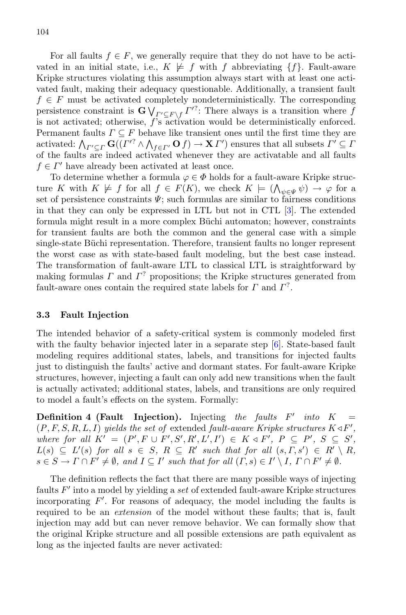For all faults  $f \in F$ , we generally require that they do not have to be activated in an initial state, i.e.,  $K \not\models f$  with f abbreviating  $\{f\}$ . Fault-aware Kripke structures violating this assumption always start with at least one activated fault, making their adequacy questionable. Additionally, a transient fault  $f \in F$  must be activated completely nondeterministically. The corresponding<br>persistence constraint is **G** $\bigvee_{\Gamma' \subseteq F \setminus f} \Gamma'^?$ : There always is a transition where *f*<br>is not activated: otherwise *f*'s activation would b EXECTED FOR THE EXECTED THAT IS NOT CHARGE TO A REFLEXIT IS NOT ACTED IT IS not activated; otherwise, f's activation would be deterministically enforced.<br>Permanent faults  $\Gamma \subset F$  behave like transient ones until the first Permanent faults  $\Gamma \subseteq F$  behave like transient ones until the first time they are activated:  $\Lambda_{\Gamma' \subseteq \Gamma} \mathbf{G}((\Gamma'^? \wedge \Lambda_{f \in \Gamma'} \mathbf{O} f) \to \mathbf{X} \Gamma')$  ensures that all subsets  $\Gamma' \subseteq \Gamma$  of the faults are indeed activated wh of the faults are indeed activated whenever they are activatable and all faults  $f \in \Gamma'$  have already been activated at least once.<br>To determine whether a formula  $\varphi \in \Phi$  holds

To determine whether a formula  $\varphi \in \Phi$  holds for a fault-aware Kripke structure K with  $K \not\models f$  for all  $f \in F(K)$ , we check  $K \models (\bigwedge_{\psi \in \Psi} \psi) \rightarrow \varphi$  for a set of persistence constraints  $\Psi$  such formulas are similar to fairness conditions set of persistence constraints  $\Psi$ ; such formulas are similar to fairness conditions in that they can only be expressed in LTL but not in CTL [\[3](#page-16-6)]. The extended formula might result in a more complex Büchi automaton; however, constraints for transient faults are both the common and the general case with a simple single-state Büchi representation. Therefore, transient faults no longer represent the worst case as with state-based fault modeling, but the best case instead. The transformation of fault-aware LTL to classical LTL is straightforward by making formulas  $\Gamma$  and  $\Gamma^2$  propositions; the Kripke structures generated from<br>fault-aware ones contain the required state labels for  $\Gamma$  and  $\Gamma^2$ fault-aware ones contain the required state labels for  $\Gamma$  and  $\Gamma^?$ .

#### **3.3 Fault Injection**

The intended behavior of a safety-critical system is commonly modeled first with the faulty behavior injected later in a separate step [\[6\]](#page-16-1). State-based fault modeling requires additional states, labels, and transitions for injected faults just to distinguish the faults' active and dormant states. For fault-aware Kripke structures, however, injecting a fault can only add new transitions when the fault is actually activated; additional states, labels, and transitions are only required to model a fault's effects on the system. Formally:

<span id="page-7-0"></span>**Definition 4 (Fault Injection).** Injecting the faults  $F'$ <br>(P F S R L I) wields the set of extended fault-gware Krinke st  $into \ K =$ <br>  $ctures \ K \triangle F'$  $(P, F, S, R, L, I)$  *yields* the set of extended fault-aware Kripke structures  $K \triangleleft F'$ ,<br>where for all  $K' = (P' \ F \sqcup F' \ S' \ R' \ I' \ I') \in K \triangleleft F' \ P \subset P' \ S \subset S'$ . *where for all*  $K' = (P', F \cup F', S', R', L', I') \in K \triangleleft F', P \subseteq P', S \subseteq S',$ <br>  $L(s) \subset L'(s)$  *for all*  $s \in S, R \subset R'$  such that for all  $(s \subset s') \in R' \setminus R$  $L(s) \subseteq L'(s)$  for all  $s \in S$ ,  $R \subseteq R'$  such that for all  $(s, T, s') \in R' \setminus R$ ,<br>  $s \in S \to \Gamma \cap F' \neq \emptyset$  and  $I \subseteq I'$  such that for all  $(F, s) \in I' \setminus I$ ,  $F \cap F' \neq \emptyset$  $s \in S \to \Gamma \cap F' \neq \emptyset$ , and  $I \subseteq I'$  such that for all  $(\Gamma, s) \in I' \setminus I$ ,  $\Gamma \cap F' \neq \emptyset$ .

The definition reflects the fact that there are many possible ways of injecting faults F' into a model by yielding a *set* of extended fault-aware Kripke structures<br>incorporating F' For reasons of adequacy, the model including the faults is incorporating  $F'$ . For reasons of adequacy, the model including the faults is<br>required to be an extension of the model without these faults: that is fault required to be an *extension* of the model without these faults; that is, fault injection may add but can never remove behavior. We can formally show that the original Kripke structure and all possible extensions are path equivalent as long as the injected faults are never activated: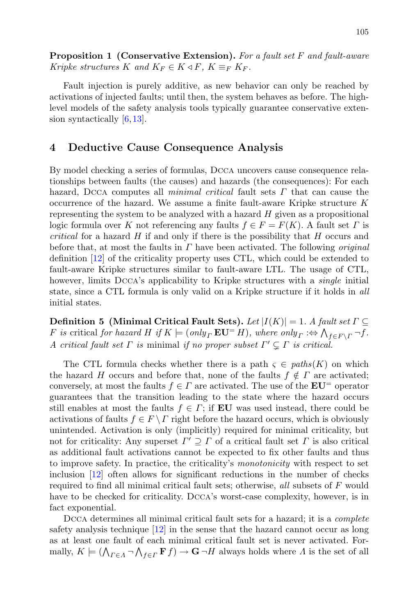**Proposition <sup>1</sup> (Conservative Extension).** *For <sup>a</sup> fault set* F *and fault-aware Kripke structures* K and  $K_F \in K \triangleleft F$ ,  $K \equiv_F K_F$ .

Fault injection is purely additive, as new behavior can only be reached by activations of injected faults; until then, the system behaves as before. The highlevel models of the safety analysis tools typically guarantee conservative extension syntactically [\[6,](#page-16-1)[13](#page-17-2)].

### **4 Deductive Cause Consequence Analysis**

By model checking a series of formulas, Dcca uncovers cause consequence relationships between faults (the causes) and hazards (the consequences): For each hazard, Dcca computes all *minimal critical* fault sets Γ that can cause the occurrence of the hazard. We assume a finite fault-aware Kripke structure  $K$ representing the system to be analyzed with <sup>a</sup> hazard H given as <sup>a</sup> propositional logic formula over K not referencing any faults  $f \in F = F(K)$ . A fault set  $\Gamma$  is *critical* for <sup>a</sup> hazard H if and only if there is the possibility that H occurs and before that, at most the faults in Γ have been activated. The following *original* definition [\[12\]](#page-17-1) of the criticality property uses CTL, which could be extended to fault-aware Kripke structures similar to fault-aware LTL. The usage of CTL, however, limits Dcca's applicability to Kripke structures with a *single* initial state, since a CTL formula is only valid on a Kripke structure if it holds in *all* initial states.

<span id="page-8-0"></span>**Definition 5 (Minimal Critical Fault Sets).** *Let*  $|I(K)| = 1$ . *A fault set*  $\Gamma \subseteq$ <br>*F is* critical for hazard H if  $K \models (only \in \textbf{FI} \equiv H)$ , where only  $\Gamma \Leftrightarrow \Lambda$ F is critical for hazard H if  $K \models (only_F \mathbf{EU} = H)$ , where only  $\Gamma \Leftrightarrow \bigwedge_{f \in F \setminus \Gamma} \neg f$ .<br>A critical feelt set  $\Gamma$  is minimal if no proper subset  $\Gamma' \subset \Gamma$  is critical *A critical fault set*  $\Gamma$  *is* minimal *if no proper subset*  $\Gamma' \subsetneq \Gamma$  *is critical.* 

The CTL formula checks whether there is a path  $\varsigma \in paths(K)$  on which the hazard H occurs and before that, none of the faults  $f \notin \Gamma$  are activated; conversely, at most the faults  $f \in \Gamma$  are activated. The use of the  $EU^-$  operator guarantees that the transition leading to the state where the hazard occurs still enables at most the faults  $f \in \Gamma$ ; if **EU** was used instead, there could be activations of faults  $f \in F \setminus \Gamma$  right before the hazard occurs, which is obviously unintended. Activation is only (implicitly) required for minimal criticality, but not for criticality: Any superset  $\Gamma' \supseteq \Gamma$  of a critical fault set  $\Gamma$  is also critical<br>as additional fault activations cannot be expected to fix other faults and thus as additional fault activations cannot be expected to fix other faults and thus to improve safety. In practice, the criticality's *monotonicity* with respect to set inclusion [\[12](#page-17-1)] often allows for significant reductions in the number of checks required to find all minimal critical fault sets; otherwise, *all* subsets of F would have to be checked for criticality. Dcca's worst-case complexity, however, is in fact exponential.

Dcca determines all minimal critical fault sets for a hazard; it is a *complete* safety analysis technique [\[12](#page-17-1)] in the sense that the hazard cannot occur as long as at least one fault of each minimal critical fault set is never activated. Formally,  $K \models (\bigwedge_{F \in \Lambda} \neg \bigwedge_{f \in F} \mathbf{F} f) \rightarrow \mathbf{G} \neg H$  always holds where  $\Lambda$  is the set of all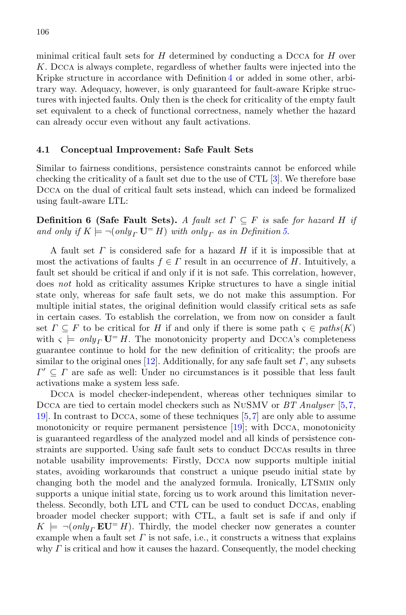minimal critical fault sets for  $H$  determined by conducting a DCCA for  $H$  over K. Dcca is always complete, regardless of whether faults were injected into the Kripke structure in accordance with Definition [4](#page-7-0) or added in some other, arbitrary way. Adequacy, however, is only guaranteed for fault-aware Kripke structures with injected faults. Only then is the check for criticality of the empty fault set equivalent to a check of functional correctness, namely whether the hazard can already occur even without any fault activations.

#### **4.1 Conceptual Improvement: Safe Fault Sets**

Similar to fairness conditions, persistence constraints cannot be enforced while checking the criticality of a fault set due to the use of CTL [\[3](#page-16-6)]. We therefore base Dcca on the dual of critical fault sets instead, which can indeed be formalized using fault-aware LTL:

**Definition 6 (Safe Fault Sets).** *A fault set*  $\Gamma \subseteq F$  *is* safe *for hazard* H *if and only* if  $K \models \neg(\text{only } \Gamma \mathbf{U} = H)$  *with only*<sub> $\Gamma$ </sub> *as in Definition* [5.](#page-8-0)

A fault set  $\Gamma$  is considered safe for a hazard  $H$  if it is impossible that at most the activations of faults  $f \in \Gamma$  result in an occurrence of H. Intuitively, a fault set should be critical if and only if it is not safe. This correlation, however, does *not* hold as criticality assumes Kripke structures to have a single initial state only, whereas for safe fault sets, we do not make this assumption. For multiple initial states, the original definition would classify critical sets as safe in certain cases. To establish the correlation, we from now on consider a fault set  $\Gamma \subseteq F$  to be critical for H if and only if there is some path  $\varsigma \in paths(K)$ with  $\varsigma \models only_{\Gamma} U^{\equiv} H$ . The monotonicity property and DCCA's completeness guarantee continue to hold for the new definition of criticality; the proofs are similar to the original ones [\[12](#page-17-1)]. Additionally, for any safe fault set  $\Gamma$ , any subsets Γ activations make a system less safe.  $\Gamma' \subseteq \Gamma$  are safe as well: Under no circumstances is it possible that less fault

Dcca is model checker-independent, whereas other techniques similar to Dcca are tied to certain model checkers such as NuSMV or *BT Analyser* [\[5](#page-16-7)[,7](#page-16-0), [19](#page-17-4)]. In contrast to Dcca, some of these techniques [\[5](#page-16-7),[7\]](#page-16-0) are only able to assume monotonicity or require permanent persistence [\[19](#page-17-4)]; with DCCA, monotonicity is guaranteed regardless of the analyzed model and all kinds of persistence constraints are supported. Using safe fault sets to conduct Dccas results in three notable usability improvements: Firstly, Dcca now supports multiple initial states, avoiding workarounds that construct a unique pseudo initial state by changing both the model and the analyzed formula. Ironically, LTSmin only supports a unique initial state, forcing us to work around this limitation nevertheless. Secondly, both LTL and CTL can be used to conduct Dccas, enabling broader model checker support; with CTL, a fault set is safe if and only if  $K \models \neg (only \cdot \mathbf{EU} = H)$ . Thirdly, the model checker now generates a counter example when a fault set  $\Gamma$  is not safe, i.e., it constructs a witness that explains why  $\Gamma$  is critical and how it causes the hazard. Consequently, the model checking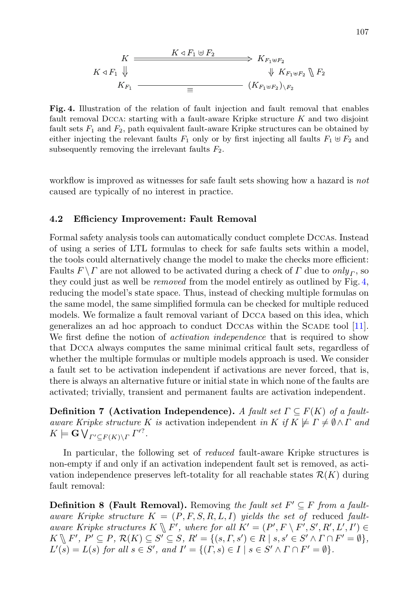$$
K \xrightarrow{K \triangleleft F_1 \oplus F_2} K_{F_1 \oplus F_2}
$$
\n
$$
K \triangleleft F_1 \downarrow \qquad \qquad \downarrow K_{F_1 \oplus F_2} \downarrow F_2
$$
\n
$$
K_{F_1} \xrightarrow{\qquad \qquad \equiv} (K_{F_1 \oplus F_2})_{\setminus F_2}
$$

<span id="page-10-0"></span>**Fig. 4.** Illustration of the relation of fault injection and fault removal that enables fault removal Dcca: starting with a fault-aware Kripke structure *K* and two disjoint fault sets *F*<sup>1</sup> and *F*2, path equivalent fault-aware Kripke structures can be obtained by either injecting the relevant faults  $F_1$  only or by first injecting all faults  $F_1 \oplus F_2$  and subsequently removing the irrelevant faults  $F_2$ .

workflow is improved as witnesses for safe fault sets showing how a hazard is *not* caused are typically of no interest in practice.

#### **4.2 Efficiency Improvement: Fault Removal**

Formal safety analysis tools can automatically conduct complete Dccas. Instead of using a series of LTL formulas to check for safe faults sets within a model, the tools could alternatively change the model to make the checks more efficient: Faults  $F \setminus \Gamma$  are not allowed to be activated during a check of  $\Gamma$  due to *only*<sub>Γ</sub>, so<br>they could just as well be *removed* from the model entirely as outlined by Fig. 4. they could just as well be *removed* from the model entirely as outlined by Fig. [4,](#page-10-0) reducing the model's state space. Thus, instead of checking multiple formulas on the same model, the same simplified formula can be checked for multiple reduced models. We formalize a fault removal variant of Dcca based on this idea, which generalizes an ad hoc approach to conduct Dccas within the Scade tool [\[11\]](#page-17-12). We first define the notion of *activation independence* that is required to show that Dcca always computes the same minimal critical fault sets, regardless of whether the multiple formulas or multiple models approach is used. We consider a fault set to be activation independent if activations are never forced, that is, there is always an alternative future or initial state in which none of the faults are activated; trivially, transient and permanent faults are activation independent.

**Definition 7** (Activation Independence). A fault set  $\Gamma \subseteq F(K)$  of a fault*aware Kripke structure* K *is* activation independent *in* K *if*  $K \not\models \Gamma \neq \emptyset \land \Gamma$  *and*  $K \models G \bigvee_{\Gamma' \subseteq F(K) \setminus \Gamma} \Gamma'$ <sup>?</sup>.

In particular, the following set of *reduced* fault-aware Kripke structures is non-empty if and only if an activation independent fault set is removed, as activation independence preserves left-totality for all reachable states  $\mathcal{R}(K)$  during fault removal:

**Definition 8 (Fault Removal).** Removing the fault set  $F' \subseteq F$  from a fault-<br>*gyare Krinke structure K* – (P F S B L L) wields the set of reduced fault*aware Kripke structure*  $K = (P, F, S, R, L, I)$  *yields the set of* reduced *faultaware Kripke structures*  $K \setminus F'$ , *where for all*  $K' = (P', F \setminus F', S', R', L', I') \in$ <br>  $K \setminus F' \subset P \subset \mathcal{R}(K) \subset S' \subset S \subset R' - f(s \subset s') \subset R \cup s \subset S' \land T \cap F' = \emptyset$ aware Kripke structures  $K \setminus F'$ , where for all  $K' = (F', F \setminus F', S', K, L', I') \in K \setminus F', P' \subseteq P$ ,  $\mathcal{R}(K) \subseteq S' \subseteq S$ ,  $R' = \{(s, \Gamma, s') \in R \mid s, s' \in S' \land \Gamma \cap F' = \emptyset\}$ ,<br> $L'(s) = L(s)$  for all  $s \in S'$ , and  $I' = \{(F, s) \in I \mid s \in S' \land \Gamma \cap F' = \emptyset\}$  $\overline{\phantom{a}}$  $L'(s) = L(s)$  *for all*  $s \in S'$ *, and*  $I' = \{(T, s) \in I \mid s \in S' \land \Gamma \cap F' = \emptyset\}.$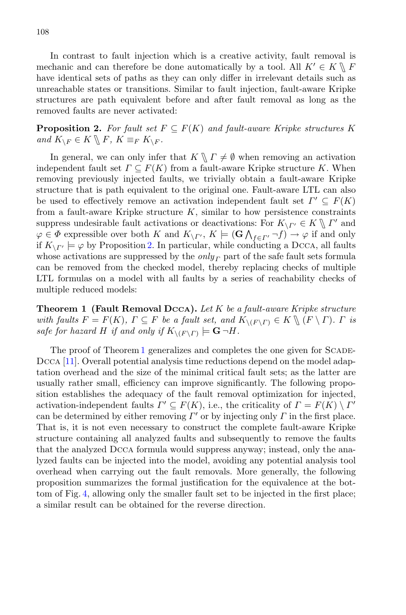In contrast to fault injection which is a creative activity, fault removal is mechanic and can therefore be done automatically by a tool. All  $K' \in K \setminus F$ have identical sets of paths as they can only differ in irrelevant details such as unreachable states or transitions. Similar to fault injection, fault-aware Kripke structures are path equivalent before and after fault removal as long as the removed faults are never activated:

<span id="page-11-0"></span>**Proposition 2.** For fault set  $F \subseteq F(K)$  and fault-aware Kripke structures K *and*  $K_{\setminus F} \in K \setminus F$ ,  $K \equiv_F K_{\setminus F}$ .

In general, we can only infer that  $K \setminus T \neq \emptyset$  when removing an activation<br>ependent fault set  $\Gamma \subset F(K)$  from a fault-aware Krinke structure K. When independent fault set  $\Gamma \subseteq F(K)$  from a fault-aware Kripke structure K. When removing previously injected faults, we trivially obtain a fault-aware Kripke structure that is path equivalent to the original one. Fault-aware LTL can also be used to effectively remove an activation independent fault set  $\Gamma' \subseteq F(K)$ <br>from a fault-aware Krinke structure K similar to how persistence constraints from a fault-aware Kripke structure  $K$ , similar to how persistence constraints suppress undesirable fault activations or deactivations: For  $K_{\setminus\Gamma'} \in K \setminus \Gamma'$  and  $\emptyset \in \Phi$  expressible over both  $K$  and  $K_{\setminus\Gamma'}$ ,  $K \models (\mathbf{G} \wedge_{\preceq \in \mathbf{G}} \wedge_{\preceq \in \mathbf{G}} \mathbf{G}) \rightarrow \emptyset$  if and only  $\varphi \in \Phi$  expressible over both K and  $K_{\setminus \Gamma'}$ ,  $K \models (\mathbf{G} \bigwedge_{f \in \Gamma'} \neg f) \rightarrow \varphi$  if and only<br>if  $K_{\setminus \Gamma'} \models \varphi$  by Proposition 2. In particular, while conducting a DCCA all faults if  $K_{\setminus\Gamma'} \models \varphi$  by Proposition [2.](#page-11-0) In particular, while conducting a DCCA, all faults<br>whose activations are suppressed by the *only* part of the safe fault sets formula whose activations are suppressed by the  $only<sub>Γ</sub>$  part of the safe fault sets formula can be removed from the checked model, thereby replacing checks of multiple LTL formulas on a model with all faults by a series of reachability checks of multiple reduced models:

<span id="page-11-1"></span>**Theorem <sup>1</sup> (Fault Removal <sup>D</sup>CCA).** *Let* K *be <sup>a</sup> fault-aware Kripke structure with faults*  $F = F(K)$ ,  $\Gamma \subseteq F$  *be a fault set, and*  $K_{\setminus (F \setminus \Gamma)} \in K \setminus (F \setminus \Gamma)$ *.*  $\Gamma$  *is safe for hazard*  $H$  *if and only if*  $K_{\setminus (F \setminus \Gamma)} = G \neg H$ *safe for hazard H if and only if*  $K_{\setminus (F \setminus \Gamma)} \models \mathbf{G} \neg H$ .

The proof of Theorem [1](#page-11-1) generalizes and completes the one given for SCADE-DCCA [\[11\]](#page-17-12). Overall potential analysis time reductions depend on the model adaptation overhead and the size of the minimal critical fault sets; as the latter are usually rather small, efficiency can improve significantly. The following proposition establishes the adequacy of the fault removal optimization for injected, activation-independent faults  $\Gamma' \subseteq F(K)$ , i.e., the criticality of  $\Gamma = F(K) \setminus \Gamma'$ <br>can be determined by either removing  $\Gamma'$  or by injecting only  $\Gamma$  in the first place can be determined by either removing  $\Gamma'$  or by injecting only  $\Gamma$  in the first place.<br>That is it is not even necessary to construct the complete fault-aware Krinke That is, it is not even necessary to construct the complete fault-aware Kripke structure containing all analyzed faults and subsequently to remove the faults that the analyzed Dcca formula would suppress anyway; instead, only the analyzed faults can be injected into the model, avoiding any potential analysis tool overhead when carrying out the fault removals. More generally, the following proposition summarizes the formal justification for the equivalence at the bottom of Fig. [4,](#page-10-0) allowing only the smaller fault set to be injected in the first place; a similar result can be obtained for the reverse direction.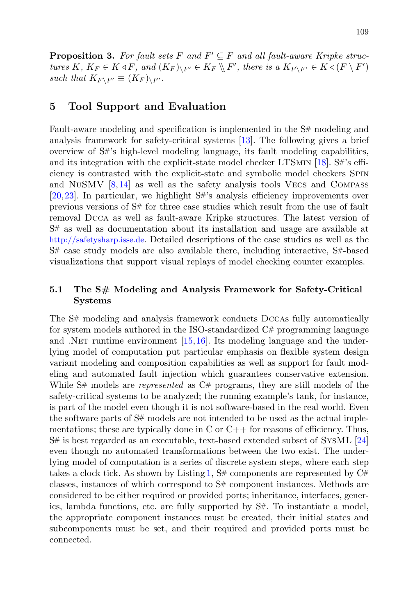**Proposition 3.** For fault sets F and  $F' \subseteq F$  and all fault-aware Kripke structures K  $K_F \subseteq K \triangleleft F$  and  $(K_F)_{F'} \subseteq K_F \setminus F'$  there is a  $K_{F'} F \subseteq K \triangleleft (F \setminus F')$ *tures*  $K, K_F \in K \triangleleft F$ , and  $(K_F)_{\setminus F'} \in K_F \setminus F'$ , there is a  $K_{F \setminus F'} \in K \triangleleft (F \setminus F'$  such that  $K_{F \setminus F'} = (K_F)_{\setminus F'}$ such that  $K_{F \setminus F'} \equiv (K_F)_{\setminus F'}$ .

### **5 Tool Support and Evaluation**

Fault-aware modeling and specification is implemented in the S# modeling and analysis framework for safety-critical systems [\[13](#page-17-2)]. The following gives a brief overview of S#'s high-level modeling language, its fault modeling capabilities, and its integration with the explicit-state model checker LTSMIN  $[18]$  $[18]$ . S#'s efficiency is contrasted with the explicit-state and symbolic model checkers Spin and NuSMV [\[8](#page-16-5),[14\]](#page-17-8) as well as the safety analysis tools Vecs and Compass [\[20](#page-17-3)[,23](#page-17-13)]. In particular, we highlight S#'s analysis efficiency improvements over previous versions of S# for three case studies which result from the use of fault removal Dcca as well as fault-aware Kripke structures. The latest version of S# as well as documentation about its installation and usage are available at <http://safetysharp.isse.de>. Detailed descriptions of the case studies as well as the S# case study models are also available there, including interactive, S#-based visualizations that support visual replays of model checking counter examples.

### **5.1 The S# Modeling and Analysis Framework for Safety-Critical Systems**

The S# modeling and analysis framework conducts Dccas fully automatically for system models authored in the ISO-standardized  $C#$  programming language and .Net runtime environment [\[15,](#page-17-14)[16](#page-17-15)]. Its modeling language and the underlying model of computation put particular emphasis on flexible system design variant modeling and composition capabilities as well as support for fault modeling and automated fault injection which guarantees conservative extension. While S# models are *represented* as C# programs, they are still models of the safety-critical systems to be analyzed; the running example's tank, for instance, is part of the model even though it is not software-based in the real world. Even the software parts of S# models are not intended to be used as the actual implementations; these are typically done in C or  $C_{++}$  for reasons of efficiency. Thus,  $S#$  is best regarded as an executable, text-based extended subset of SYSML [\[24\]](#page-17-16) even though no automated transformations between the two exist. The underlying model of computation is a series of discrete system steps, where each step takes a clock tick. As shown by Listing [1,](#page-13-0)  $S#$  components are represented by  $C#$ classes, instances of which correspond to S# component instances. Methods are considered to be either required or provided ports; inheritance, interfaces, generics, lambda functions, etc. are fully supported by S#. To instantiate a model, the appropriate component instances must be created, their initial states and subcomponents must be set, and their required and provided ports must be connected.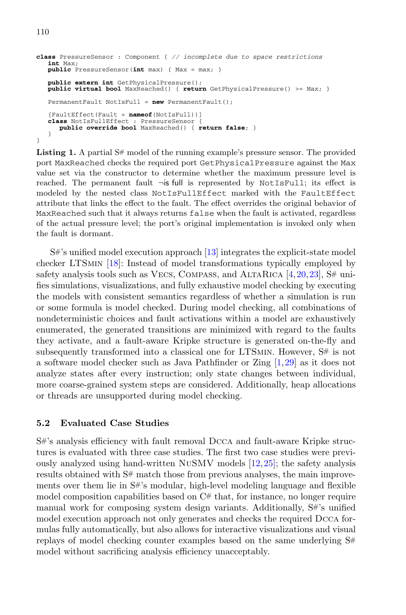```
class PressureSensor : Component { // incomplete due to space restrictions
  int Max;
  public PressureSensor(int max) { Max = max; }
  public extern int GetPhysicalPressure();
  public virtual bool MaxReached() { return GetPhysicalPressure() >= Max; }
  PermanentFault NotIsFull = new PermanentFault();
   [FaultEffect(Fault = nameof(NotIsFull))]
  class NotIsFullEffect : PressureSensor {
     public override bool MaxReached() { return false; }
  }
}
```
**Listing 1.** A partial S# model of the running example's pressure sensor. The provided port MaxReached checks the required port GetPhysicalPressure against the Max value set via the constructor to determine whether the maximum pressure level is reached. The permanent fault ¬is full is represented by NotIsFull; its effect is modeled by the nested class NotIsFullEffect marked with the FaultEffect attribute that links the effect to the fault. The effect overrides the original behavior of MaxReached such that it always returns false when the fault is activated, regardless of the actual pressure level; the port's original implementation is invoked only when the fault is dormant.

S#'s unified model execution approach [\[13\]](#page-17-2) integrates the explicit-state model checker LTSmin [\[18](#page-17-7)]: Instead of model transformations typically employed by safety analysis tools such as VECS, COMPASS, and ALTARICA [\[4](#page-16-2), 20, [23\]](#page-17-13), S# unifies simulations, visualizations, and fully exhaustive model checking by executing the models with consistent semantics regardless of whether a simulation is run or some formula is model checked. During model checking, all combinations of nondeterministic choices and fault activations within a model are exhaustively enumerated, the generated transitions are minimized with regard to the faults they activate, and a fault-aware Kripke structure is generated on-the-fly and subsequently transformed into a classical one for LTSMIN. However,  $S#$  is not a software model checker such as Java Pathfinder or Zing [\[1](#page-16-8)[,29](#page-17-17)] as it does not analyze states after every instruction; only state changes between individual, more coarse-grained system steps are considered. Additionally, heap allocations or threads are unsupported during model checking.

#### **5.2 Evaluated Case Studies**

S#'s analysis efficiency with fault removal Dcca and fault-aware Kripke structures is evaluated with three case studies. The first two case studies were previously analyzed using hand-written NuSMV models [\[12,](#page-17-1)[25\]](#page-17-18); the safety analysis results obtained with  $S#$  match those from previous analyses, the main improvements over them lie in S#'s modular, high-level modeling language and flexible model composition capabilities based on C# that, for instance, no longer require manual work for composing system design variants. Additionally, S#'s unified model execution approach not only generates and checks the required Dcca formulas fully automatically, but also allows for interactive visualizations and visual replays of model checking counter examples based on the same underlying  $S#$ model without sacrificing analysis efficiency unacceptably.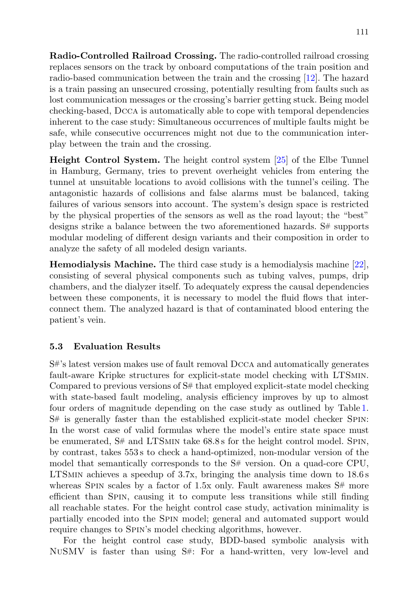**Radio-Controlled Railroad Crossing.** The radio-controlled railroad crossing replaces sensors on the track by onboard computations of the train position and radio-based communication between the train and the crossing [\[12](#page-17-1)]. The hazard is a train passing an unsecured crossing, potentially resulting from faults such as lost communication messages or the crossing's barrier getting stuck. Being model checking-based, Dcca is automatically able to cope with temporal dependencies inherent to the case study: Simultaneous occurrences of multiple faults might be safe, while consecutive occurrences might not due to the communication interplay between the train and the crossing.

**Height Control System.** The height control system [\[25](#page-17-18)] of the Elbe Tunnel in Hamburg, Germany, tries to prevent overheight vehicles from entering the tunnel at unsuitable locations to avoid collisions with the tunnel's ceiling. The antagonistic hazards of collisions and false alarms must be balanced, taking failures of various sensors into account. The system's design space is restricted by the physical properties of the sensors as well as the road layout; the "best" designs strike a balance between the two aforementioned hazards. S# supports modular modeling of different design variants and their composition in order to analyze the safety of all modeled design variants.

**Hemodialysis Machine.** The third case study is a hemodialysis machine [\[22\]](#page-17-19), consisting of several physical components such as tubing valves, pumps, drip chambers, and the dialyzer itself. To adequately express the causal dependencies between these components, it is necessary to model the fluid flows that interconnect them. The analyzed hazard is that of contaminated blood entering the patient's vein.

# **5.3 Evaluation Results**

S#'s latest version makes use of fault removal Dcca and automatically generates fault-aware Kripke structures for explicit-state model checking with LTSmin. Compared to previous versions of S# that employed explicit-state model checking with state-based fault modeling, analysis efficiency improves by up to almost four orders of magnitude depending on the case study as outlined by Table [1.](#page-15-0) S# is generally faster than the established explicit-state model checker Spin: In the worst case of valid formulas where the model's entire state space must be enumerated, S# and LTSmin take 68.8 s for the height control model. Spin, by contrast, takes 553 s to check a hand-optimized, non-modular version of the model that semantically corresponds to the S# version. On a quad-core CPU, LTSmin achieves a speedup of 3.7x, bringing the analysis time down to 18.6 s whereas SPIN scales by a factor of 1.5x only. Fault awareness makes  $S#$  more efficient than Spin, causing it to compute less transitions while still finding all reachable states. For the height control case study, activation minimality is partially encoded into the Spin model; general and automated support would require changes to SPIN's model checking algorithms, however.

For the height control case study, BDD-based symbolic analysis with NUSMV is faster than using  $S#$ : For a hand-written, very low-level and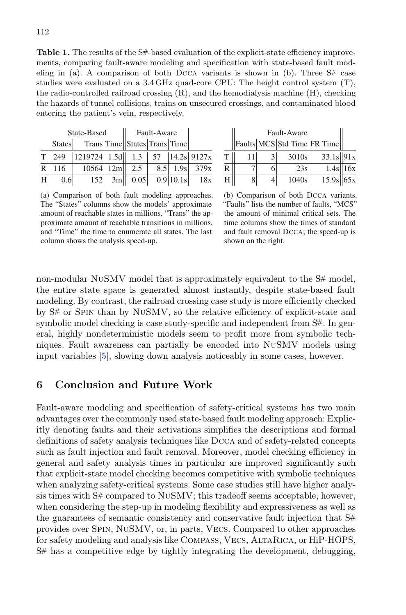<span id="page-15-0"></span>**Table 1.** The results of the  $S#$ -based evaluation of the explicit-state efficiency improvements, comparing fault-aware modeling and specification with state-based fault modeling in (a). A comparison of both DCCA variants is shown in (b). Three  $S#$  case studies were evaluated on a 3.4 GHz quad-core CPU: The height control system (T), the radio-controlled railroad crossing  $(R)$ , and the hemodialysis machine  $(H)$ , checking the hazards of tunnel collisions, trains on unsecured crossings, and contaminated blood entering the patient's vein, respectively.

|                |        | State-Based        | Fault-Aware |                              |     |           |              |
|----------------|--------|--------------------|-------------|------------------------------|-----|-----------|--------------|
|                | States |                    |             | Trans Time States Trans Time |     |           |              |
|                | 249    | $1219724$ 1.5d 1.3 |             |                              | 57  |           | 14.2s  9127x |
| $\overline{R}$ | 16     | 10564              | 12m         | 2.5                          | 8.5 | 1.9s      | 379x         |
|                | 0.6    | 152                | 3m          | 0.05                         |     | 0.9 10.1s | 18x          |

|              | Fault-Aware |   |                             |              |  |  |  |  |  |
|--------------|-------------|---|-----------------------------|--------------|--|--|--|--|--|
|              |             |   | Faults MCS Std Time FR Time |              |  |  |  |  |  |
|              |             | 3 | 3010s                       | $33.1s$  91x |  |  |  |  |  |
| $\mathbb{R}$ |             | h | 23s                         | $1.4s$ 16x   |  |  |  |  |  |
| н            |             |   | 1040s                       | $15.9s$ 65x  |  |  |  |  |  |

(a) Comparison of both fault modeling approaches. The "States" columns show the models' approximate amount of reachable states in millions, "Trans" the approximate amount of reachable transitions in millions, and "Time" the time to enumerate all states. The last column shows the analysis speed-up.

(b) Comparison of both DCCA variants. "Faults" lists the number of faults, "MCS" the amount of minimal critical sets. The time columns show the times of standard and fault removal DCCA; the speed-up is shown on the right.

non-modular NUSMV model that is approximately equivalent to the  $S#$  model, the entire state space is generated almost instantly, despite state-based fault modeling. By contrast, the railroad crossing case study is more efficiently checked by S# or Spin than by NuSMV, so the relative efficiency of explicit-state and symbolic model checking is case study-specific and independent from S#. In general, highly nondeterministic models seem to profit more from symbolic techniques. Fault awareness can partially be encoded into NuSMV models using input variables [\[5](#page-16-7)], slowing down analysis noticeably in some cases, however.

# **6 Conclusion and Future Work**

Fault-aware modeling and specification of safety-critical systems has two main advantages over the commonly used state-based fault modeling approach: Explicitly denoting faults and their activations simplifies the descriptions and formal definitions of safety analysis techniques like Dcca and of safety-related concepts such as fault injection and fault removal. Moreover, model checking efficiency in general and safety analysis times in particular are improved significantly such that explicit-state model checking becomes competitive with symbolic techniques when analyzing safety-critical systems. Some case studies still have higher analysis times with S# compared to NuSMV; this tradeoff seems acceptable, however, when considering the step-up in modeling flexibility and expressiveness as well as the guarantees of semantic consistency and conservative fault injection that  $S#$ provides over Spin, NuSMV, or, in parts, Vecs. Compared to other approaches for safety modeling and analysis like Compass, Vecs, AltaRica, or HiP-HOPS, S# has a competitive edge by tightly integrating the development, debugging,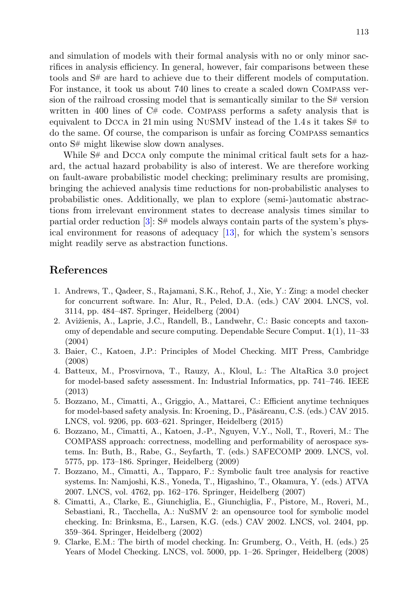and simulation of models with their formal analysis with no or only minor sacrifices in analysis efficiency. In general, however, fair comparisons between these tools and S# are hard to achieve due to their different models of computation. For instance, it took us about 740 lines to create a scaled down Compass version of the railroad crossing model that is semantically similar to the S# version written in 400 lines of  $C#$  code. COMPASS performs a safety analysis that is equivalent to Dcca in 21 min using NuSMV instead of the 1.4 s it takes S# to do the same. Of course, the comparison is unfair as forcing Compass semantics onto S# might likewise slow down analyses.

While  $S#$  and DCCA only compute the minimal critical fault sets for a hazard, the actual hazard probability is also of interest. We are therefore working on fault-aware probabilistic model checking; preliminary results are promising, bringing the achieved analysis time reductions for non-probabilistic analyses to probabilistic ones. Additionally, we plan to explore (semi-)automatic abstractions from irrelevant environment states to decrease analysis times similar to partial order reduction  $[3]$  $[3]$ : S# models always contain parts of the system's physical environment for reasons of adequacy [\[13\]](#page-17-2), for which the system's sensors might readily serve as abstraction functions.

# <span id="page-16-8"></span>**References**

- 1. Andrews, T., Qadeer, S., Rajamani, S.K., Rehof, J., Xie, Y.: Zing: a model checker for concurrent software. In: Alur, R., Peled, D.A. (eds.) CAV 2004. LNCS, vol. 3114, pp. 484–487. Springer, Heidelberg (2004)
- <span id="page-16-3"></span>2. Avižienis, A., Laprie, J.C., Randell, B., Landwehr, C.: Basic concepts and taxonomy of dependable and secure computing. Dependable Secure Comput. **1**(1), 11–33 (2004)
- <span id="page-16-6"></span>3. Baier, C., Katoen, J.P.: Principles of Model Checking. MIT Press, Cambridge (2008)
- <span id="page-16-2"></span>4. Batteux, M., Prosvirnova, T., Rauzy, A., Kloul, L.: The AltaRica 3.0 project for model-based safety assessment. In: Industrial Informatics, pp. 741–746. IEEE (2013)
- <span id="page-16-7"></span>5. Bozzano, M., Cimatti, A., Griggio, A., Mattarei, C.: Efficient anytime techniques for model-based safety analysis. In: Kroening, D., Păsăreanu, C.S. (eds.) CAV 2015. LNCS, vol. 9206, pp. 603–621. Springer, Heidelberg (2015)
- <span id="page-16-1"></span>6. Bozzano, M., Cimatti, A., Katoen, J.-P., Nguyen, V.Y., Noll, T., Roveri, M.: The COMPASS approach: correctness, modelling and performability of aerospace systems. In: Buth, B., Rabe, G., Seyfarth, T. (eds.) SAFECOMP 2009. LNCS, vol. 5775, pp. 173–186. Springer, Heidelberg (2009)
- <span id="page-16-0"></span>7. Bozzano, M., Cimatti, A., Tapparo, F.: Symbolic fault tree analysis for reactive systems. In: Namjoshi, K.S., Yoneda, T., Higashino, T., Okamura, Y. (eds.) ATVA 2007. LNCS, vol. 4762, pp. 162–176. Springer, Heidelberg (2007)
- <span id="page-16-5"></span>8. Cimatti, A., Clarke, E., Giunchiglia, E., Giunchiglia, F., Pistore, M., Roveri, M., Sebastiani, R., Tacchella, A.: NuSMV 2: an opensource tool for symbolic model checking. In: Brinksma, E., Larsen, K.G. (eds.) CAV 2002. LNCS, vol. 2404, pp. 359–364. Springer, Heidelberg (2002)
- <span id="page-16-4"></span>9. Clarke, E.M.: The birth of model checking. In: Grumberg, O., Veith, H. (eds.) 25 Years of Model Checking. LNCS, vol. 5000, pp. 1–26. Springer, Heidelberg (2008)